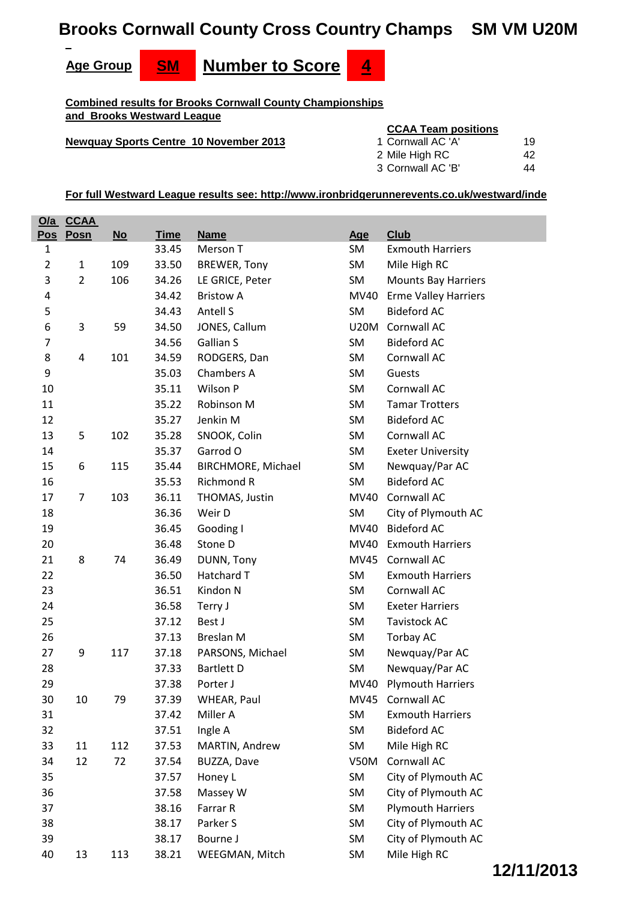# **Brooks Cornwall County Cross Country Champs SM VM U20M**



**Combined results for Brooks Cornwall County Championships and Brooks Westward League**

**Newquay Sports Centre 10 November 2013** 

#### **CCAA Team positions**

| 1 Cornwall AC 'A' | 19 |
|-------------------|----|
| 2 Mile High RC    | 42 |
| 3 Cornwall AC 'B' | 44 |

|                | <u>O/a CCAA</u> |      |             |                     |             |                             |
|----------------|-----------------|------|-------------|---------------------|-------------|-----------------------------|
| <u>Pos</u>     | Posn            | $No$ | <b>Time</b> | <b>Name</b>         | Age         | <b>Club</b>                 |
| $\mathbf{1}$   |                 |      | 33.45       | Merson T            | SM          | <b>Exmouth Harriers</b>     |
| $\overline{2}$ | $\mathbf{1}$    | 109  | 33.50       | <b>BREWER, Tony</b> | SM          | Mile High RC                |
| 3              | $\overline{2}$  | 106  | 34.26       | LE GRICE, Peter     | SM          | <b>Mounts Bay Harriers</b>  |
| 4              |                 |      | 34.42       | <b>Bristow A</b>    | MV40        | <b>Erme Valley Harriers</b> |
| 5              |                 |      | 34.43       | Antell S            | <b>SM</b>   | <b>Bideford AC</b>          |
| 6              | 3               | 59   | 34.50       | JONES, Callum       | <b>U20M</b> | Cornwall AC                 |
| 7              |                 |      | 34.56       | <b>Gallian S</b>    | SM          | <b>Bideford AC</b>          |
| 8              | 4               | 101  | 34.59       | RODGERS, Dan        | SM          | Cornwall AC                 |
| 9              |                 |      | 35.03       | Chambers A          | <b>SM</b>   | Guests                      |
| 10             |                 |      | 35.11       | Wilson P            | <b>SM</b>   | Cornwall AC                 |
| 11             |                 |      | 35.22       | Robinson M          | SM          | <b>Tamar Trotters</b>       |
| 12             |                 |      | 35.27       | Jenkin M            | SM          | <b>Bideford AC</b>          |
| 13             | 5               | 102  | 35.28       | SNOOK, Colin        | SM          | Cornwall AC                 |
| 14             |                 |      | 35.37       | Garrod O            | SM          | <b>Exeter University</b>    |
| 15             | 6               | 115  | 35.44       | BIRCHMORE, Michael  | SM          | Newquay/Par AC              |
| 16             |                 |      | 35.53       | <b>Richmond R</b>   | SM          | <b>Bideford AC</b>          |
| 17             | $\overline{7}$  | 103  | 36.11       | THOMAS, Justin      | MV40        | Cornwall AC                 |
| 18             |                 |      | 36.36       | Weir D              | SM          | City of Plymouth AC         |
| 19             |                 |      | 36.45       | Gooding I           | MV40        | <b>Bideford AC</b>          |
| 20             |                 |      | 36.48       | Stone D             | MV40        | <b>Exmouth Harriers</b>     |
| 21             | 8               | 74   | 36.49       | DUNN, Tony          | <b>MV45</b> | Cornwall AC                 |
| 22             |                 |      | 36.50       | Hatchard T          | <b>SM</b>   | <b>Exmouth Harriers</b>     |
| 23             |                 |      | 36.51       | Kindon N            | SM          | Cornwall AC                 |
| 24             |                 |      | 36.58       | Terry J             | SM          | <b>Exeter Harriers</b>      |
| 25             |                 |      | 37.12       | Best J              | SM          | <b>Tavistock AC</b>         |
| 26             |                 |      | 37.13       | <b>Breslan M</b>    | SM          | Torbay AC                   |
| 27             | 9               | 117  | 37.18       | PARSONS, Michael    | SM          | Newquay/Par AC              |
| 28             |                 |      | 37.33       | <b>Bartlett D</b>   | SM          | Newquay/Par AC              |
| 29             |                 |      | 37.38       | Porter J            |             | MV40 Plymouth Harriers      |
| 30             | 10              | 79   | 37.39       | WHEAR, Paul         |             | MV45 Cornwall AC            |
| 31             |                 |      | 37.42       | Miller A            | SM          | <b>Exmouth Harriers</b>     |
| 32             |                 |      | 37.51       | Ingle A             | SM          | <b>Bideford AC</b>          |
| 33             | 11              | 112  | 37.53       | MARTIN, Andrew      | SM          | Mile High RC                |
| 34             | 12              | 72   | 37.54       | BUZZA, Dave         | <b>V50M</b> | Cornwall AC                 |
| 35             |                 |      | 37.57       | Honey L             | SM          | City of Plymouth AC         |
| 36             |                 |      | 37.58       | Massey W            | SM          | City of Plymouth AC         |
| 37             |                 |      | 38.16       | Farrar R            | SM          | <b>Plymouth Harriers</b>    |
| 38             |                 |      | 38.17       | Parker S            | SM          | City of Plymouth AC         |
| 39             |                 |      | 38.17       | Bourne J            | SM          | City of Plymouth AC         |
| 40             | 13              | 113  | 38.21       | WEEGMAN, Mitch      | SM          | Mile High RC                |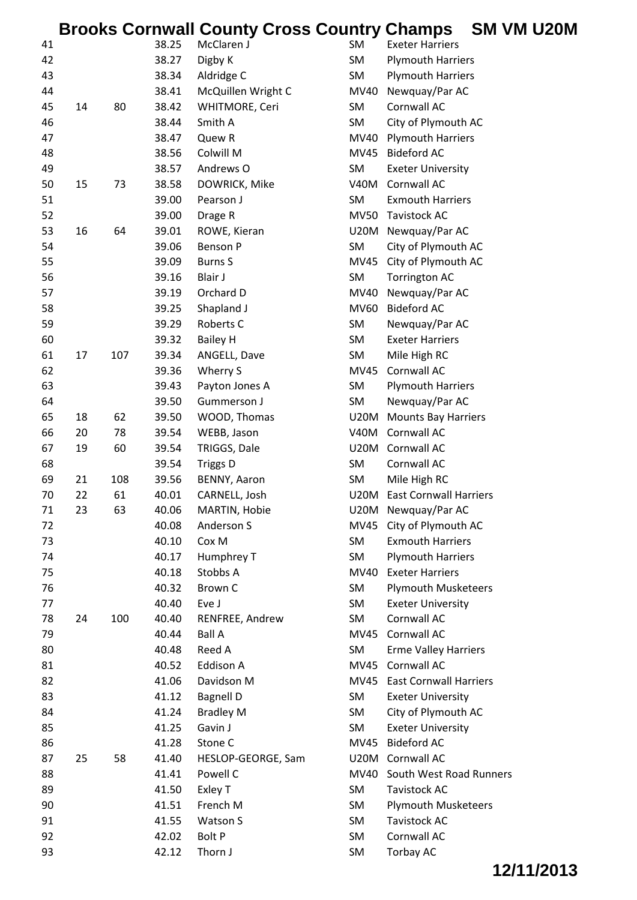|    |    |     |       | <b>Brooks Cornwall County Cross Country Champs</b> |             |                               | SM VM U20M |
|----|----|-----|-------|----------------------------------------------------|-------------|-------------------------------|------------|
| 41 |    |     | 38.25 | McClaren J                                         | SM          | <b>Exeter Harriers</b>        |            |
| 42 |    |     | 38.27 | Digby K                                            | SM          | <b>Plymouth Harriers</b>      |            |
| 43 |    |     | 38.34 | Aldridge C                                         | SM          | <b>Plymouth Harriers</b>      |            |
| 44 |    |     | 38.41 | McQuillen Wright C                                 | MV40        | Newquay/Par AC                |            |
| 45 | 14 | 80  | 38.42 | WHITMORE, Ceri                                     | SM          | Cornwall AC                   |            |
| 46 |    |     | 38.44 | Smith A                                            | SM          | City of Plymouth AC           |            |
| 47 |    |     | 38.47 | Quew R                                             | MV40        | <b>Plymouth Harriers</b>      |            |
| 48 |    |     | 38.56 | Colwill M                                          | MV45        | <b>Bideford AC</b>            |            |
| 49 |    |     | 38.57 | Andrews O                                          | SM          | <b>Exeter University</b>      |            |
| 50 | 15 | 73  | 38.58 | DOWRICK, Mike                                      | <b>V40M</b> | <b>Cornwall AC</b>            |            |
| 51 |    |     | 39.00 | Pearson J                                          | SM          | <b>Exmouth Harriers</b>       |            |
| 52 |    |     | 39.00 | Drage R                                            | <b>MV50</b> | <b>Tavistock AC</b>           |            |
| 53 | 16 | 64  | 39.01 | ROWE, Kieran                                       |             | U20M Newquay/Par AC           |            |
| 54 |    |     | 39.06 | <b>Benson P</b>                                    | SM          | City of Plymouth AC           |            |
| 55 |    |     | 39.09 | <b>Burns S</b>                                     |             | MV45 City of Plymouth AC      |            |
| 56 |    |     | 39.16 | Blair J                                            | SM          | <b>Torrington AC</b>          |            |
| 57 |    |     | 39.19 | Orchard D                                          | MV40        | Newquay/Par AC                |            |
| 58 |    |     | 39.25 | Shapland J                                         | <b>MV60</b> | <b>Bideford AC</b>            |            |
| 59 |    |     | 39.29 | Roberts C                                          | SM          | Newquay/Par AC                |            |
| 60 |    |     | 39.32 | <b>Bailey H</b>                                    | SM          | <b>Exeter Harriers</b>        |            |
| 61 | 17 | 107 | 39.34 | ANGELL, Dave                                       | SM          | Mile High RC                  |            |
| 62 |    |     | 39.36 | Wherry S                                           | MV45        | Cornwall AC                   |            |
| 63 |    |     | 39.43 | Payton Jones A                                     | SM          | <b>Plymouth Harriers</b>      |            |
| 64 |    |     | 39.50 | Gummerson J                                        | SM          | Newquay/Par AC                |            |
| 65 | 18 | 62  | 39.50 | WOOD, Thomas                                       |             | U20M Mounts Bay Harriers      |            |
| 66 | 20 | 78  | 39.54 | WEBB, Jason                                        | <b>V40M</b> | Cornwall AC                   |            |
| 67 | 19 | 60  | 39.54 | TRIGGS, Dale                                       |             | U20M Cornwall AC              |            |
| 68 |    |     | 39.54 | <b>Triggs D</b>                                    | SM          | Cornwall AC                   |            |
| 69 | 21 | 108 | 39.56 | BENNY, Aaron                                       | SM          | Mile High RC                  |            |
| 70 | 22 | 61  | 40.01 | CARNELL, Josh                                      | U20M        | <b>East Cornwall Harriers</b> |            |
| 71 | 23 | 63  | 40.06 | MARTIN, Hobie                                      |             | U20M Newquay/Par AC           |            |
| 72 |    |     | 40.08 | Anderson S                                         | MV45        | City of Plymouth AC           |            |
| 73 |    |     | 40.10 | Cox M                                              | SM          | <b>Exmouth Harriers</b>       |            |
| 74 |    |     | 40.17 | Humphrey T                                         | SM          | <b>Plymouth Harriers</b>      |            |
| 75 |    |     | 40.18 | Stobbs A                                           | MV40        | <b>Exeter Harriers</b>        |            |
| 76 |    |     | 40.32 | <b>Brown C</b>                                     | SM          | <b>Plymouth Musketeers</b>    |            |
| 77 |    |     | 40.40 | Eve J                                              | SM          | <b>Exeter University</b>      |            |
| 78 | 24 | 100 | 40.40 | RENFREE, Andrew                                    | SM          | Cornwall AC                   |            |
| 79 |    |     | 40.44 | <b>Ball A</b>                                      |             | MV45 Cornwall AC              |            |
| 80 |    |     | 40.48 | Reed A                                             | SM          | <b>Erme Valley Harriers</b>   |            |
| 81 |    |     | 40.52 | Eddison A                                          |             | MV45 Cornwall AC              |            |
| 82 |    |     | 41.06 | Davidson M                                         | MV45        | <b>East Cornwall Harriers</b> |            |
| 83 |    |     | 41.12 | <b>Bagnell D</b>                                   | SM          | <b>Exeter University</b>      |            |
| 84 |    |     | 41.24 | <b>Bradley M</b>                                   | SM          | City of Plymouth AC           |            |
| 85 |    |     | 41.25 | Gavin J                                            | SM          | <b>Exeter University</b>      |            |
| 86 |    |     | 41.28 | Stone C                                            |             | MV45 Bideford AC              |            |
| 87 | 25 | 58  | 41.40 | HESLOP-GEORGE, Sam                                 |             | U20M Cornwall AC              |            |
| 88 |    |     | 41.41 | Powell C                                           | <b>MV40</b> | South West Road Runners       |            |
| 89 |    |     | 41.50 | Exley T                                            | SM          | <b>Tavistock AC</b>           |            |
| 90 |    |     | 41.51 | French M                                           | SM          | <b>Plymouth Musketeers</b>    |            |
| 91 |    |     | 41.55 | Watson S                                           | SM          | <b>Tavistock AC</b>           |            |
| 92 |    |     | 42.02 | <b>Bolt P</b>                                      | SM          | Cornwall AC                   |            |
| 93 |    |     | 42.12 | Thorn J                                            | SM          | Torbay AC                     |            |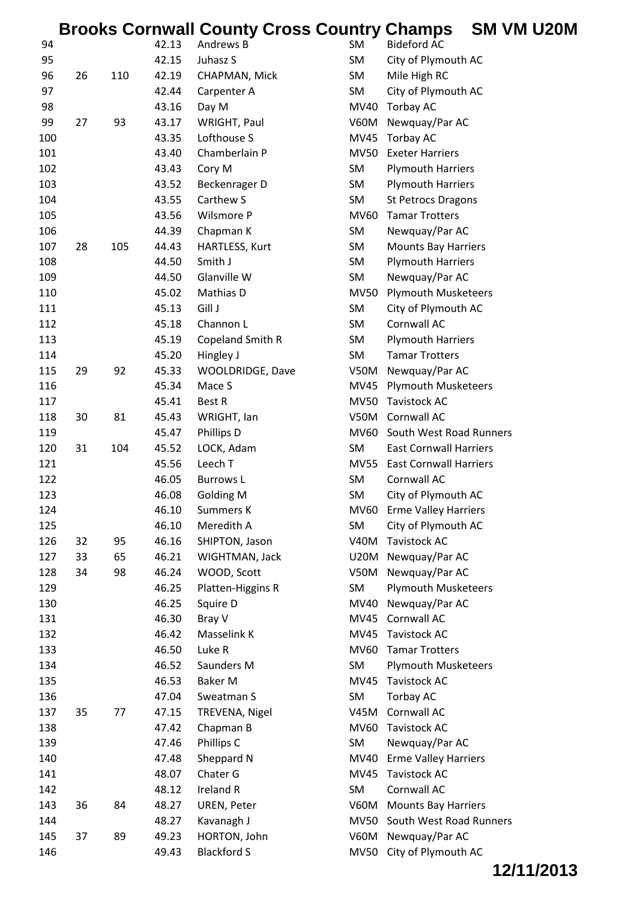|     |    |     |       | <b>Brooks Cornwall County Cross Country Champs</b> |             |                               | SM VM U20M |  |
|-----|----|-----|-------|----------------------------------------------------|-------------|-------------------------------|------------|--|
| 94  |    |     | 42.13 | Andrews B                                          | SM          | <b>Bideford AC</b>            |            |  |
| 95  |    |     | 42.15 | Juhasz S                                           | <b>SM</b>   | City of Plymouth AC           |            |  |
| 96  | 26 | 110 | 42.19 | CHAPMAN, Mick                                      | SM          | Mile High RC                  |            |  |
| 97  |    |     | 42.44 | Carpenter A                                        | <b>SM</b>   | City of Plymouth AC           |            |  |
| 98  |    |     | 43.16 | Day M                                              | MV40        | <b>Torbay AC</b>              |            |  |
| 99  | 27 | 93  | 43.17 | WRIGHT, Paul                                       | <b>V60M</b> | Newquay/Par AC                |            |  |
| 100 |    |     | 43.35 | Lofthouse S                                        | <b>MV45</b> | Torbay AC                     |            |  |
| 101 |    |     | 43.40 | Chamberlain P                                      | <b>MV50</b> | <b>Exeter Harriers</b>        |            |  |
| 102 |    |     | 43.43 | Cory M                                             | <b>SM</b>   | <b>Plymouth Harriers</b>      |            |  |
| 103 |    |     | 43.52 | Beckenrager D                                      | SM          | <b>Plymouth Harriers</b>      |            |  |
| 104 |    |     | 43.55 | Carthew S                                          | SM          | <b>St Petrocs Dragons</b>     |            |  |
| 105 |    |     | 43.56 | Wilsmore P                                         | <b>MV60</b> | <b>Tamar Trotters</b>         |            |  |
| 106 |    |     | 44.39 | Chapman K                                          | SM          | Newquay/Par AC                |            |  |
| 107 | 28 | 105 | 44.43 | HARTLESS, Kurt                                     | SM          | <b>Mounts Bay Harriers</b>    |            |  |
| 108 |    |     | 44.50 | Smith J                                            | SM          | <b>Plymouth Harriers</b>      |            |  |
| 109 |    |     | 44.50 | Glanville W                                        | SM          | Newquay/Par AC                |            |  |
| 110 |    |     | 45.02 | Mathias D                                          | <b>MV50</b> | <b>Plymouth Musketeers</b>    |            |  |
| 111 |    |     | 45.13 | Gill J                                             | <b>SM</b>   | City of Plymouth AC           |            |  |
| 112 |    |     | 45.18 | Channon L                                          | SM          | Cornwall AC                   |            |  |
| 113 |    |     | 45.19 | Copeland Smith R                                   | SM          | <b>Plymouth Harriers</b>      |            |  |
| 114 |    |     | 45.20 | Hingley J                                          | SM          | <b>Tamar Trotters</b>         |            |  |
| 115 | 29 | 92  | 45.33 | WOOLDRIDGE, Dave                                   | V50M        | Newquay/Par AC                |            |  |
| 116 |    |     | 45.34 | Mace S                                             | <b>MV45</b> | <b>Plymouth Musketeers</b>    |            |  |
| 117 |    |     | 45.41 | Best R                                             | <b>MV50</b> | <b>Tavistock AC</b>           |            |  |
| 118 | 30 | 81  | 45.43 | WRIGHT, Ian                                        | V50M        | Cornwall AC                   |            |  |
| 119 |    |     | 45.47 | Phillips D                                         |             | MV60 South West Road Runners  |            |  |
| 120 | 31 | 104 | 45.52 | LOCK, Adam                                         | SM          | <b>East Cornwall Harriers</b> |            |  |
| 121 |    |     | 45.56 | Leech T                                            |             | MV55 East Cornwall Harriers   |            |  |
| 122 |    |     | 46.05 | <b>Burrows L</b>                                   | <b>SM</b>   | Cornwall AC                   |            |  |
| 123 |    |     | 46.08 | <b>Golding M</b>                                   | <b>SM</b>   | City of Plymouth AC           |            |  |
| 124 |    |     | 46.10 | Summers K                                          |             | MV60 Erme Valley Harriers     |            |  |
| 125 |    |     | 46.10 | Meredith A                                         | SM          | City of Plymouth AC           |            |  |
| 126 | 32 | 95  | 46.16 | SHIPTON, Jason                                     | <b>V40M</b> | <b>Tavistock AC</b>           |            |  |
| 127 | 33 | 65  | 46.21 | WIGHTMAN, Jack                                     |             | U20M Newquay/Par AC           |            |  |
| 128 | 34 | 98  | 46.24 | WOOD, Scott                                        | V50M        | Newquay/Par AC                |            |  |
| 129 |    |     | 46.25 | Platten-Higgins R                                  | SM          | <b>Plymouth Musketeers</b>    |            |  |
| 130 |    |     | 46.25 | Squire D                                           | MV40        | Newquay/Par AC                |            |  |
| 131 |    |     | 46.30 | Bray V                                             | MV45        | Cornwall AC                   |            |  |
| 132 |    |     | 46.42 | Masselink K                                        | <b>MV45</b> | Tavistock AC                  |            |  |
| 133 |    |     | 46.50 | Luke R                                             | MV60        | <b>Tamar Trotters</b>         |            |  |
| 134 |    |     | 46.52 | Saunders M                                         | SM          | <b>Plymouth Musketeers</b>    |            |  |
| 135 |    |     | 46.53 | Baker M                                            | <b>MV45</b> | Tavistock AC                  |            |  |
| 136 |    |     | 47.04 | Sweatman S                                         | SM          | Torbay AC                     |            |  |
| 137 | 35 | 77  | 47.15 | TREVENA, Nigel                                     | <b>V45M</b> | Cornwall AC                   |            |  |
| 138 |    |     | 47.42 | Chapman B                                          | MV60        | Tavistock AC                  |            |  |
| 139 |    |     | 47.46 | Phillips C                                         | SM          | Newquay/Par AC                |            |  |
| 140 |    |     | 47.48 | Sheppard N                                         | MV40        | <b>Erme Valley Harriers</b>   |            |  |
| 141 |    |     | 48.07 | Chater G                                           | <b>MV45</b> | <b>Tavistock AC</b>           |            |  |
| 142 |    |     | 48.12 | Ireland R                                          | SM          | Cornwall AC                   |            |  |
| 143 | 36 | 84  | 48.27 | UREN, Peter                                        | V60M        | <b>Mounts Bay Harriers</b>    |            |  |
| 144 |    |     | 48.27 | Kavanagh J                                         | MV50        | South West Road Runners       |            |  |
| 145 | 37 | 89  | 49.23 | HORTON, John                                       |             | V60M Newquay/Par AC           |            |  |
| 146 |    |     | 49.43 | <b>Blackford S</b>                                 | <b>MV50</b> | City of Plymouth AC           |            |  |
|     |    |     |       |                                                    |             |                               |            |  |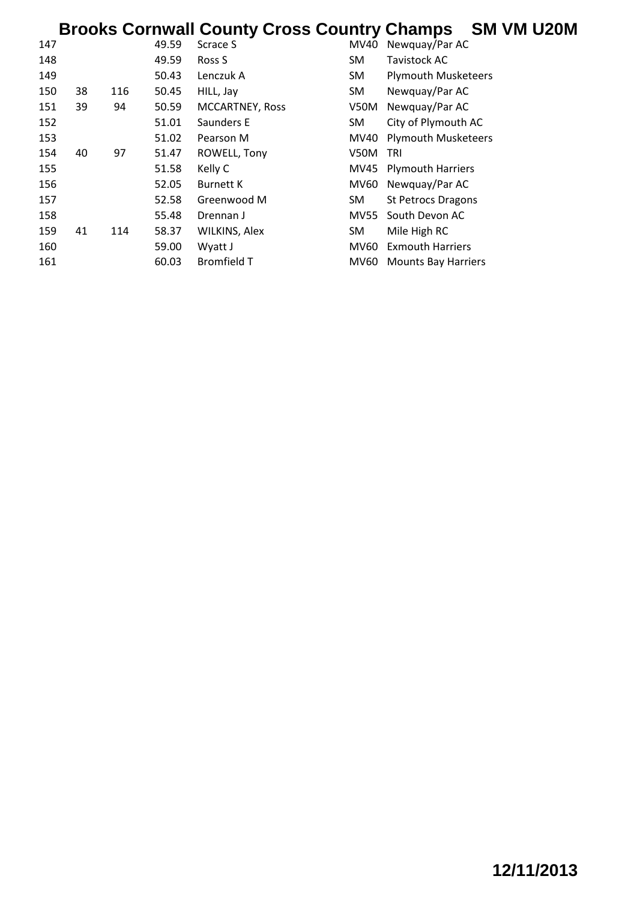# **Brooks Cornwall County Cross Country Champs SM VM U20M**

| 147 |    |     | 49.59 | Scrace S               | MV40        | Newquay/Par AC             |
|-----|----|-----|-------|------------------------|-------------|----------------------------|
| 148 |    |     | 49.59 | Ross S                 | <b>SM</b>   | Tavistock AC               |
| 149 |    |     | 50.43 | Lenczuk A              | SM          | <b>Plymouth Musketeers</b> |
| 150 | 38 | 116 | 50.45 | HILL, Jay              | SM          | Newquay/Par AC             |
| 151 | 39 | 94  | 50.59 | <b>MCCARTNEY, Ross</b> | V50M        | Newquay/Par AC             |
| 152 |    |     | 51.01 | Saunders E             | <b>SM</b>   | City of Plymouth AC        |
| 153 |    |     | 51.02 | Pearson M              | MV40        | <b>Plymouth Musketeers</b> |
| 154 | 40 | 97  | 51.47 | ROWELL, Tony           | <b>V50M</b> | TRI                        |
| 155 |    |     | 51.58 | Kelly C                | MV45        | <b>Plymouth Harriers</b>   |
| 156 |    |     | 52.05 | <b>Burnett K</b>       | MV60        | Newquay/Par AC             |
| 157 |    |     | 52.58 | Greenwood M            | SM.         | <b>St Petrocs Dragons</b>  |
| 158 |    |     | 55.48 | Drennan J              | <b>MV55</b> | South Devon AC             |
| 159 | 41 | 114 | 58.37 | WILKINS, Alex          | SM          | Mile High RC               |
| 160 |    |     | 59.00 | Wyatt J                | MV60        | <b>Exmouth Harriers</b>    |
| 161 |    |     | 60.03 | <b>Bromfield T</b>     | MV60        | <b>Mounts Bay Harriers</b> |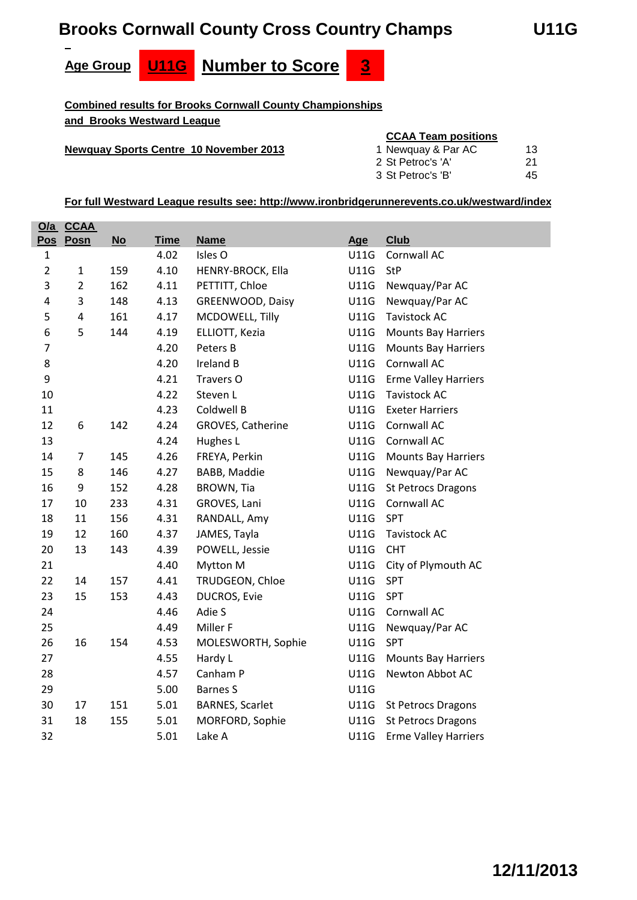# **Brooks Cornwall County Cross Country Champs U11G**

**Age Group U11G Number to Score 3**

**Combined results for Brooks Cornwall County Championships and Brooks Westward League**

#### **Newquay Sports Centre 10 November 2013**

#### **CCAA Team positions**

| 1 Newquay & Par AC | 13. |
|--------------------|-----|
| 2 St Petroc's 'A'  | -21 |
| 3 St Petroc's 'B'  | 45  |

|                | <u>O/a CCAA</u> |      |             |                        |             |                             |
|----------------|-----------------|------|-------------|------------------------|-------------|-----------------------------|
| <b>Pos</b>     | Posn            | $No$ | <b>Time</b> | <b>Name</b>            | Age         | <b>Club</b>                 |
| $\mathbf 1$    |                 |      | 4.02        | Isles O                | U11G        | Cornwall AC                 |
| $\overline{2}$ | $\mathbf{1}$    | 159  | 4.10        | HENRY-BROCK, Ella      | U11G        | <b>StP</b>                  |
| 3              | $\overline{2}$  | 162  | 4.11        | PETTITT, Chloe         | U11G        | Newquay/Par AC              |
| 4              | 3               | 148  | 4.13        | GREENWOOD, Daisy       | U11G        | Newquay/Par AC              |
| 5              | $\overline{4}$  | 161  | 4.17        | MCDOWELL, Tilly        | U11G        | <b>Tavistock AC</b>         |
| 6              | 5               | 144  | 4.19        | ELLIOTT, Kezia         | U11G        | <b>Mounts Bay Harriers</b>  |
| $\overline{7}$ |                 |      | 4.20        | Peters B               | U11G        | <b>Mounts Bay Harriers</b>  |
| 8              |                 |      | 4.20        | Ireland B              | U11G        | Cornwall AC                 |
| 9              |                 |      | 4.21        | Travers O              | U11G        | <b>Erme Valley Harriers</b> |
| 10             |                 |      | 4.22        | Steven L               | U11G        | <b>Tavistock AC</b>         |
| 11             |                 |      | 4.23        | Coldwell B             | U11G        | <b>Exeter Harriers</b>      |
| 12             | 6               | 142  | 4.24        | GROVES, Catherine      | U11G        | Cornwall AC                 |
| 13             |                 |      | 4.24        | Hughes L               | <b>U11G</b> | <b>Cornwall AC</b>          |
| 14             | $\overline{7}$  | 145  | 4.26        | FREYA, Perkin          | U11G        | <b>Mounts Bay Harriers</b>  |
| 15             | 8               | 146  | 4.27        | BABB, Maddie           | U11G        | Newquay/Par AC              |
| 16             | 9               | 152  | 4.28        | BROWN, Tia             | U11G        | <b>St Petrocs Dragons</b>   |
| 17             | 10              | 233  | 4.31        | GROVES, Lani           | U11G        | Cornwall AC                 |
| 18             | 11              | 156  | 4.31        | RANDALL, Amy           | U11G        | SPT                         |
| 19             | 12              | 160  | 4.37        | JAMES, Tayla           | U11G        | <b>Tavistock AC</b>         |
| 20             | 13              | 143  | 4.39        | POWELL, Jessie         | <b>U11G</b> | <b>CHT</b>                  |
| 21             |                 |      | 4.40        | Mytton M               | U11G        | City of Plymouth AC         |
| 22             | 14              | 157  | 4.41        | TRUDGEON, Chloe        | U11G        | <b>SPT</b>                  |
| 23             | 15              | 153  | 4.43        | DUCROS, Evie           | U11G        | SPT                         |
| 24             |                 |      | 4.46        | Adie S                 | U11G        | Cornwall AC                 |
| 25             |                 |      | 4.49        | Miller F               | U11G        | Newquay/Par AC              |
| 26             | 16              | 154  | 4.53        | MOLESWORTH, Sophie     | U11G        | <b>SPT</b>                  |
| 27             |                 |      | 4.55        | Hardy L                | U11G        | <b>Mounts Bay Harriers</b>  |
| 28             |                 |      | 4.57        | Canham P               | <b>U11G</b> | Newton Abbot AC             |
| 29             |                 |      | 5.00        | <b>Barnes S</b>        | U11G        |                             |
| 30             | 17              | 151  | 5.01        | <b>BARNES, Scarlet</b> | U11G        | <b>St Petrocs Dragons</b>   |
| 31             | 18              | 155  | 5.01        | MORFORD, Sophie        | U11G        | <b>St Petrocs Dragons</b>   |
| 32             |                 |      | 5.01        | Lake A                 | U11G        | <b>Erme Valley Harriers</b> |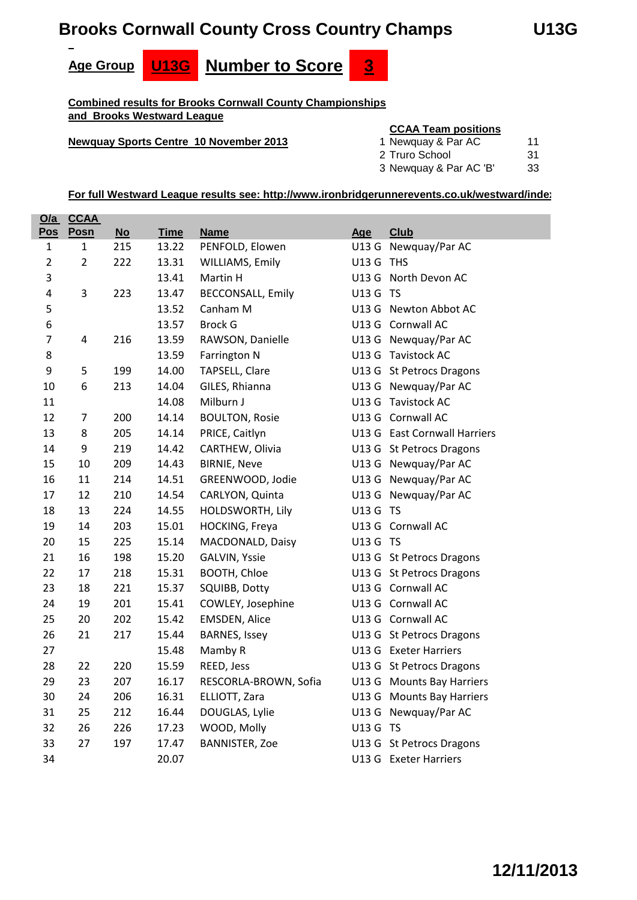# **Brooks Cornwall County Cross Country Champs U13G**





**Combined results for Brooks Cornwall County Championships and Brooks Westward League**

#### **Newquay Sports Centre 10 November 2013**

#### **CCAA Team positions**

| 1 Newquay & Par AC     | 11  |
|------------------------|-----|
| 2 Truro School         | .31 |
| 3 Newquay & Par AC 'B' | 33  |

| O/a            | <u>CCAA</u>             |           |             |                          |           |                              |
|----------------|-------------------------|-----------|-------------|--------------------------|-----------|------------------------------|
| Pos            | Posn                    | <b>No</b> | <b>Time</b> | <b>Name</b>              | Age       | <b>Club</b>                  |
| $\mathbf{1}$   | $\mathbf{1}$            | 215       | 13.22       | PENFOLD, Elowen          |           | U13 G Newquay/Par AC         |
| $\overline{2}$ | $\overline{2}$          | 222       | 13.31       | WILLIAMS, Emily          | U13 G THS |                              |
| 3              |                         |           | 13.41       | Martin H                 |           | U13 G North Devon AC         |
| 4              | 3                       | 223       | 13.47       | <b>BECCONSALL, Emily</b> | U13 G TS  |                              |
| 5              |                         |           | 13.52       | Canham M                 |           | U13 G Newton Abbot AC        |
| 6              |                         |           | 13.57       | <b>Brock G</b>           |           | U13 G Cornwall AC            |
| $\overline{7}$ | $\overline{\mathbf{4}}$ | 216       | 13.59       | RAWSON, Danielle         |           | U13 G Newquay/Par AC         |
| 8              |                         |           | 13.59       | Farrington N             |           | U13 G Tavistock AC           |
| 9              | 5                       | 199       | 14.00       | TAPSELL, Clare           |           | U13 G St Petrocs Dragons     |
| 10             | 6                       | 213       | 14.04       | GILES, Rhianna           |           | U13 G Newquay/Par AC         |
| 11             |                         |           | 14.08       | Milburn J                |           | U13 G Tavistock AC           |
| 12             | $\overline{7}$          | 200       | 14.14       | <b>BOULTON, Rosie</b>    |           | U13 G Cornwall AC            |
| 13             | 8                       | 205       | 14.14       | PRICE, Caitlyn           |           | U13 G East Cornwall Harriers |
| 14             | 9                       | 219       | 14.42       | CARTHEW, Olivia          |           | U13 G St Petrocs Dragons     |
| 15             | 10                      | 209       | 14.43       | <b>BIRNIE, Neve</b>      |           | U13 G Newquay/Par AC         |
| 16             | 11                      | 214       | 14.51       | GREENWOOD, Jodie         |           | U13 G Newquay/Par AC         |
| 17             | 12                      | 210       | 14.54       | CARLYON, Quinta          |           | U13 G Newquay/Par AC         |
| 18             | 13                      | 224       | 14.55       | HOLDSWORTH, Lily         | U13 G TS  |                              |
| 19             | 14                      | 203       | 15.01       | HOCKING, Freya           |           | U13 G Cornwall AC            |
| 20             | 15                      | 225       | 15.14       | MACDONALD, Daisy         | U13 G TS  |                              |
| 21             | 16                      | 198       | 15.20       | GALVIN, Yssie            |           | U13 G St Petrocs Dragons     |
| 22             | 17                      | 218       | 15.31       | BOOTH, Chloe             |           | U13 G St Petrocs Dragons     |
| 23             | 18                      | 221       | 15.37       | SQUIBB, Dotty            |           | U13 G Cornwall AC            |
| 24             | 19                      | 201       | 15.41       | COWLEY, Josephine        |           | U13 G Cornwall AC            |
| 25             | 20                      | 202       | 15.42       | <b>EMSDEN, Alice</b>     |           | U13 G Cornwall AC            |
| 26             | 21                      | 217       | 15.44       | <b>BARNES, Issey</b>     |           | U13 G St Petrocs Dragons     |
| 27             |                         |           | 15.48       | Mamby R                  |           | U13 G Exeter Harriers        |
| 28             | 22                      | 220       | 15.59       | REED, Jess               |           | U13 G St Petrocs Dragons     |
| 29             | 23                      | 207       | 16.17       | RESCORLA-BROWN, Sofia    |           | U13 G Mounts Bay Harriers    |
| 30             | 24                      | 206       | 16.31       | ELLIOTT, Zara            |           | U13 G Mounts Bay Harriers    |
| 31             | 25                      | 212       | 16.44       | DOUGLAS, Lylie           |           | U13 G Newquay/Par AC         |
| 32             | 26                      | 226       | 17.23       | WOOD, Molly              | U13 G TS  |                              |
| 33             | 27                      | 197       | 17.47       | <b>BANNISTER, Zoe</b>    |           | U13 G St Petrocs Dragons     |
| 34             |                         |           | 20.07       |                          |           | U13 G Exeter Harriers        |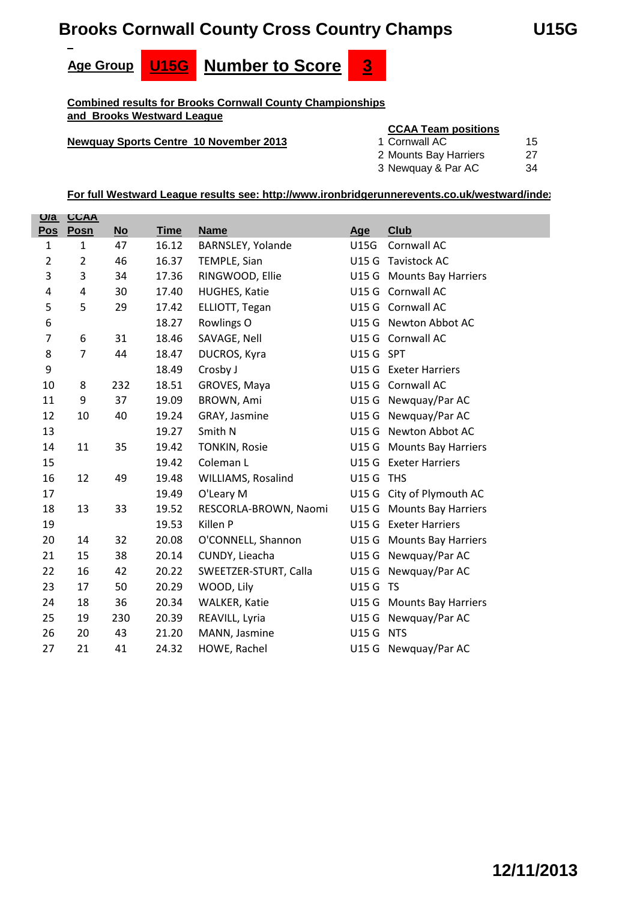# **Brooks Cornwall County Cross Country Champs U15G**







**Combined results for Brooks Cornwall County Championships and Brooks Westward League**

#### **Newquay Sports Centre 10 November 2013**

#### **CCAA Team positions**

| 1 Cornwall AC         | 15  |
|-----------------------|-----|
| 2 Mounts Bay Harriers | -27 |

| 3 Newquay & Par AC | 34 |
|--------------------|----|

| Q/a                     | <b>CCAA</b>    |      |             |                       |             |                           |
|-------------------------|----------------|------|-------------|-----------------------|-------------|---------------------------|
| <b>Pos</b>              | Posn           | $No$ | <b>Time</b> | <b>Name</b>           | Age         | <b>Club</b>               |
| $\mathbf{1}$            | $\mathbf{1}$   | 47   | 16.12       | BARNSLEY, Yolande     | <b>U15G</b> | Cornwall AC               |
| $\overline{2}$          | $\overline{2}$ | 46   | 16.37       | TEMPLE, Sian          |             | U15 G Tavistock AC        |
| 3                       | 3              | 34   | 17.36       | RINGWOOD, Ellie       |             | U15 G Mounts Bay Harriers |
| $\overline{\mathbf{4}}$ | 4              | 30   | 17.40       | HUGHES, Katie         |             | U15 G Cornwall AC         |
| 5                       | 5              | 29   | 17.42       | ELLIOTT, Tegan        |             | U15 G Cornwall AC         |
| 6                       |                |      | 18.27       | Rowlings O            |             | U15 G Newton Abbot AC     |
| $\overline{7}$          | 6              | 31   | 18.46       | SAVAGE, Nell          |             | U15 G Cornwall AC         |
| 8                       | $\overline{7}$ | 44   | 18.47       | DUCROS, Kyra          | U15 G SPT   |                           |
| 9                       |                |      | 18.49       | Crosby J              |             | U15 G Exeter Harriers     |
| 10                      | 8              | 232  | 18.51       | GROVES, Maya          |             | U15 G Cornwall AC         |
| 11                      | 9              | 37   | 19.09       | BROWN, Ami            |             | U15 G Newquay/Par AC      |
| 12                      | 10             | 40   | 19.24       | GRAY, Jasmine         |             | U15 G Newquay/Par AC      |
| 13                      |                |      | 19.27       | Smith N               |             | U15 G Newton Abbot AC     |
| 14                      | 11             | 35   | 19.42       | <b>TONKIN, Rosie</b>  |             | U15 G Mounts Bay Harriers |
| 15                      |                |      | 19.42       | Coleman L             |             | U15 G Exeter Harriers     |
| 16                      | 12             | 49   | 19.48       | WILLIAMS, Rosalind    | U15 G THS   |                           |
| 17                      |                |      | 19.49       | O'Leary M             |             | U15 G City of Plymouth AC |
| 18                      | 13             | 33   | 19.52       | RESCORLA-BROWN, Naomi |             | U15 G Mounts Bay Harriers |
| 19                      |                |      | 19.53       | Killen P              |             | U15 G Exeter Harriers     |
| 20                      | 14             | 32   | 20.08       | O'CONNELL, Shannon    |             | U15 G Mounts Bay Harriers |
| 21                      | 15             | 38   | 20.14       | CUNDY, Lieacha        |             | U15 G Newquay/Par AC      |
| 22                      | 16             | 42   | 20.22       | SWEETZER-STURT, Calla |             | U15 G Newquay/Par AC      |
| 23                      | 17             | 50   | 20.29       | WOOD, Lily            | U15 G TS    |                           |
| 24                      | 18             | 36   | 20.34       | WALKER, Katie         |             | U15 G Mounts Bay Harriers |
| 25                      | 19             | 230  | 20.39       | REAVILL, Lyria        |             | U15 G Newquay/Par AC      |
| 26                      | 20             | 43   | 21.20       | MANN, Jasmine         | U15 G NTS   |                           |
| 27                      | 21             | 41   | 24.32       | HOWE, Rachel          |             | U15 G Newquay/Par AC      |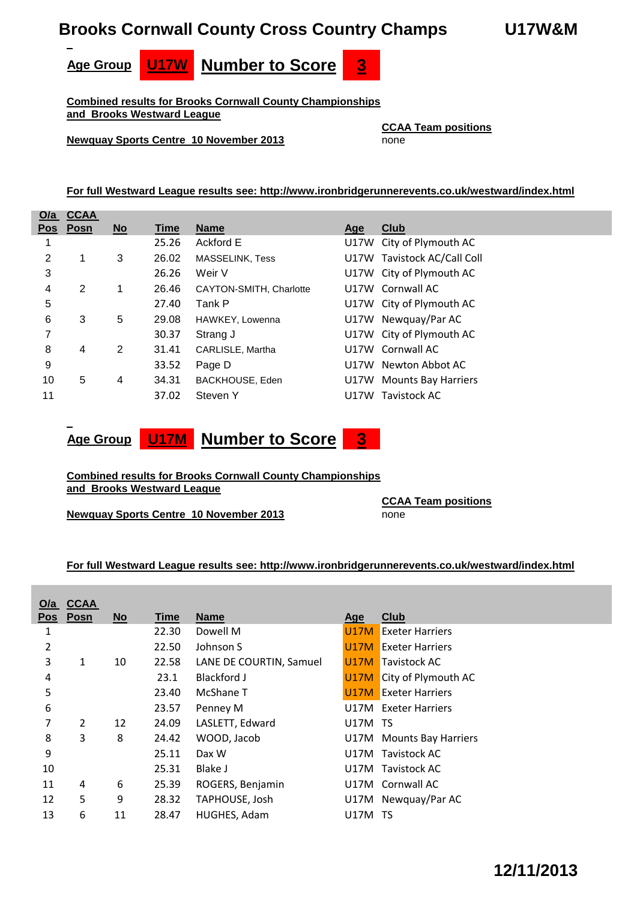#### **Brooks Cornwall County Cross Country Champs U17W&M**





**Combined results for Brooks Cornwall County Championships and Brooks Westward League**

**Newquay Sports Centre 10 November 2013** none

**CCAA Team positions**

**For full Westward League results see: http://www.ironbridgerunnerevents.co.uk/westward/index.html**

| O/a | <b>CCAA</b> |                           |       |                         |      |                             |
|-----|-------------|---------------------------|-------|-------------------------|------|-----------------------------|
|     | Pos Posn    | $\underline{\mathsf{No}}$ | Time  | <b>Name</b>             | Age  | Club                        |
|     |             |                           | 25.26 | Ackford E               | U17W | City of Plymouth AC         |
| 2   |             | 3                         | 26.02 | <b>MASSELINK, Tess</b>  |      | U17W Tavistock AC/Call Coll |
| 3   |             |                           | 26.26 | Weir V                  |      | U17W City of Plymouth AC    |
| 4   | 2           | 1                         | 26.46 | CAYTON-SMITH, Charlotte |      | U17W Cornwall AC            |
| 5   |             |                           | 27.40 | Tank P                  |      | U17W City of Plymouth AC    |
| 6   | 3           | 5                         | 29.08 | HAWKEY, Lowenna         |      | U17W Newquay/Par AC         |
| 7   |             |                           | 30.37 | Strang J                |      | U17W City of Plymouth AC    |
| 8   | 4           | 2                         | 31.41 | CARLISLE, Martha        |      | U17W Cornwall AC            |
| 9   |             |                           | 33.52 | Page D                  | U17W | Newton Abbot AC             |
| 10  | 5           | 4                         | 34.31 | BACKHOUSE, Eden         | U17W | <b>Mounts Bay Harriers</b>  |
| 11  |             |                           | 37.02 | Steven Y                | U17W | Tavistock AC                |



#### **Combined results for Brooks Cornwall County Championships and Brooks Westward League**

**Newquay Sports Centre 10 November 2013** none

**CCAA Team positions**

| O/a            | <b>CCAA</b> |      |       |                         |                |                                 |
|----------------|-------------|------|-------|-------------------------|----------------|---------------------------------|
|                | Pos Posn    | $No$ | Time  | <b>Name</b>             | <u>Age</u>     | <b>Club</b>                     |
| 1              |             |      | 22.30 | Dowell M                | <b>U17M</b>    | <b>Exeter Harriers</b>          |
| $\overline{2}$ |             |      | 22.50 | Johnson S               | U17M           | <b>Exeter Harriers</b>          |
| 3              | 1           | 10   | 22.58 | LANE DE COURTIN, Samuel | <b>U17M</b>    | Tavistock AC                    |
| 4              |             |      | 23.1  | Blackford J             |                | <b>U17M</b> City of Plymouth AC |
| 5              |             |      | 23.40 | McShane T               | U17M           | <b>Exeter Harriers</b>          |
| 6              |             |      | 23.57 | Penney M                |                | U17M Exeter Harriers            |
| 7              | 2           | 12   | 24.09 | LASLETT, Edward         | <b>U17M TS</b> |                                 |
| 8              | 3           | 8    | 24.42 | WOOD, Jacob             |                | U17M Mounts Bay Harriers        |
| 9              |             |      | 25.11 | Dax W                   |                | U17M Tavistock AC               |
| 10             |             |      | 25.31 | Blake J                 |                | U17M Tavistock AC               |
| 11             | 4           | 6    | 25.39 | ROGERS, Benjamin        |                | U17M Cornwall AC                |
| 12             | 5           | 9    | 28.32 | TAPHOUSE, Josh          |                | U17M Newquay/Par AC             |
| 13             | 6           | 11   | 28.47 | HUGHES, Adam            | U17M TS        |                                 |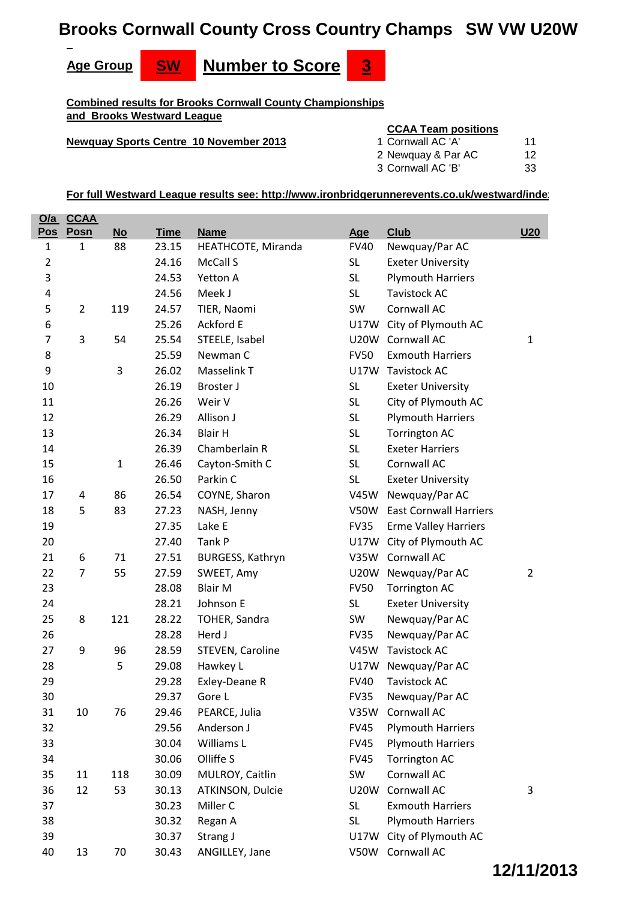# **Brooks Cornwall County Cross Country Champs SW VW U20W**



**Combined results for Brooks Cornwall County Championships and Brooks Westward League**

#### **Newquay Sports Centre 10 November 2013**

#### **CCAA Team positions**

| 1 Cornwall AC 'A'  |    |
|--------------------|----|
| 2 Newquay & Par AC | 12 |

Cornwall AC 'B' 33

**For full Westward League results see: http://www.ironbridgerunnerevents.co.uk/westward/index**

| <u>O/a</u>     | <u>CCAA</u>    |              |             |                    |             |                               |                |
|----------------|----------------|--------------|-------------|--------------------|-------------|-------------------------------|----------------|
| <b>Pos</b>     | Posn           | <b>No</b>    | <b>Time</b> | <b>Name</b>        | Age         | <b>Club</b>                   | <b>U20</b>     |
| $\mathbf{1}$   | $\mathbf{1}$   | 88           | 23.15       | HEATHCOTE, Miranda | <b>FV40</b> | Newquay/Par AC                |                |
| $\overline{2}$ |                |              | 24.16       | McCall S           | <b>SL</b>   | <b>Exeter University</b>      |                |
| 3              |                |              | 24.53       | Yetton A           | <b>SL</b>   | <b>Plymouth Harriers</b>      |                |
| 4              |                |              | 24.56       | Meek J             | SL          | <b>Tavistock AC</b>           |                |
| 5              | $\overline{2}$ | 119          | 24.57       | TIER, Naomi        | SW          | Cornwall AC                   |                |
| 6              |                |              | 25.26       | <b>Ackford E</b>   |             | U17W City of Plymouth AC      |                |
| 7              | 3              | 54           | 25.54       | STEELE, Isabel     |             | U20W Cornwall AC              | 1              |
| 8              |                |              | 25.59       | Newman C           | <b>FV50</b> | <b>Exmouth Harriers</b>       |                |
| 9              |                | 3            | 26.02       | Masselink T        | <b>U17W</b> | <b>Tavistock AC</b>           |                |
| 10             |                |              | 26.19       | Broster J          | <b>SL</b>   | <b>Exeter University</b>      |                |
| 11             |                |              | 26.26       | Weir V             | <b>SL</b>   | City of Plymouth AC           |                |
| 12             |                |              | 26.29       | Allison J          | <b>SL</b>   | <b>Plymouth Harriers</b>      |                |
| 13             |                |              | 26.34       | <b>Blair H</b>     | <b>SL</b>   | <b>Torrington AC</b>          |                |
| 14             |                |              | 26.39       | Chamberlain R      | <b>SL</b>   | <b>Exeter Harriers</b>        |                |
| 15             |                | $\mathbf{1}$ | 26.46       | Cayton-Smith C     | <b>SL</b>   | Cornwall AC                   |                |
| 16             |                |              | 26.50       | Parkin C           | <b>SL</b>   | <b>Exeter University</b>      |                |
| 17             | 4              | 86           | 26.54       | COYNE, Sharon      | <b>V45W</b> | Newquay/Par AC                |                |
| 18             | 5              | 83           | 27.23       | NASH, Jenny        | <b>V50W</b> | <b>East Cornwall Harriers</b> |                |
| 19             |                |              | 27.35       | Lake E             | <b>FV35</b> | <b>Erme Valley Harriers</b>   |                |
| 20             |                |              | 27.40       | Tank P             |             | U17W City of Plymouth AC      |                |
| 21             | 6              | 71           | 27.51       | BURGESS, Kathryn   | V35W        | Cornwall AC                   |                |
| 22             | $\overline{7}$ | 55           | 27.59       | SWEET, Amy         |             | U20W Newquay/Par AC           | $\overline{2}$ |
| 23             |                |              | 28.08       | <b>Blair M</b>     | <b>FV50</b> | <b>Torrington AC</b>          |                |
| 24             |                |              | 28.21       | Johnson E          | <b>SL</b>   | <b>Exeter University</b>      |                |
| 25             | 8              | 121          | 28.22       | TOHER, Sandra      | SW          | Newquay/Par AC                |                |
| 26             |                |              | 28.28       | Herd J             | <b>FV35</b> | Newquay/Par AC                |                |
| 27             | 9              | 96           | 28.59       | STEVEN, Caroline   | <b>V45W</b> | <b>Tavistock AC</b>           |                |
| 28             |                | 5            | 29.08       | Hawkey L           | <b>U17W</b> | Newquay/Par AC                |                |
| 29             |                |              | 29.28       | Exley-Deane R      | <b>FV40</b> | <b>Tavistock AC</b>           |                |
| 30             |                |              | 29.37       | Gore L             | FV35        | Newquay/Par AC                |                |
| 31             | 10             | 76           | 29.46       | PEARCE, Julia      | <b>V35W</b> | Cornwall AC                   |                |
| 32             |                |              | 29.56       | Anderson J         | <b>FV45</b> | <b>Plymouth Harriers</b>      |                |
| 33             |                |              | 30.04       | Williams L         | <b>FV45</b> | <b>Plymouth Harriers</b>      |                |
| 34             |                |              | 30.06       | Olliffe S          | <b>FV45</b> | <b>Torrington AC</b>          |                |
| 35             | 11             | 118          | 30.09       | MULROY, Caitlin    | SW          | Cornwall AC                   |                |
| 36             | 12             | 53           | 30.13       | ATKINSON, Dulcie   | <b>U20W</b> | Cornwall AC                   | 3              |
| 37             |                |              | 30.23       | Miller C           | <b>SL</b>   | <b>Exmouth Harriers</b>       |                |
| 38             |                |              | 30.32       | Regan A            | <b>SL</b>   | <b>Plymouth Harriers</b>      |                |
| 39             |                |              | 30.37       | Strang J           | U17W        | City of Plymouth AC           |                |
| 40             | 13             | 70           | 30.43       | ANGILLEY, Jane     | <b>V50W</b> | Cornwall AC                   |                |

# **12/11/2013**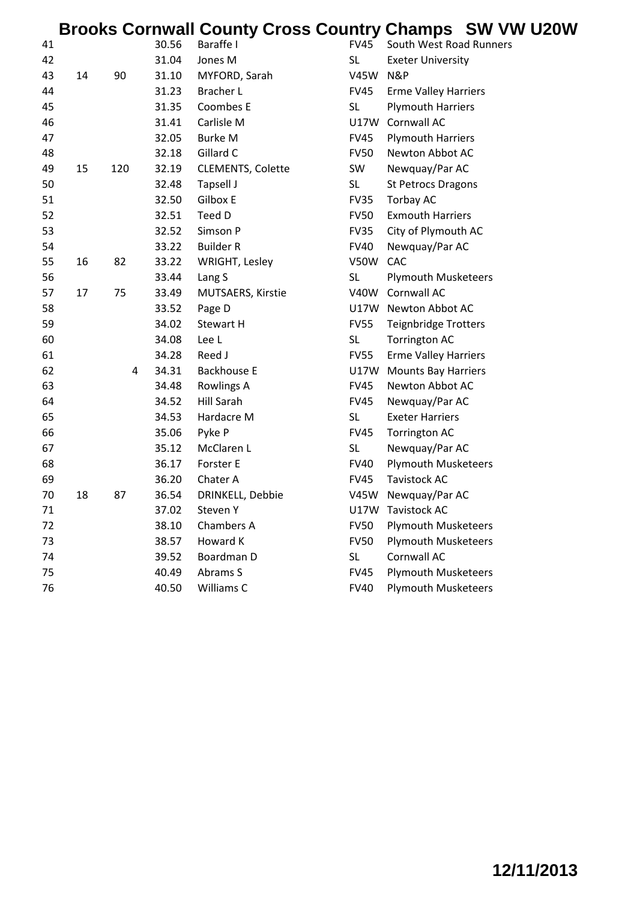|    |    |     |       |                          |             | <b>Brooks Cornwall County Cross Country Champs SW VW U20W</b> |
|----|----|-----|-------|--------------------------|-------------|---------------------------------------------------------------|
| 41 |    |     | 30.56 | Baraffe I                | <b>FV45</b> | South West Road Runners                                       |
| 42 |    |     | 31.04 | Jones M                  | SL.         | <b>Exeter University</b>                                      |
| 43 | 14 | 90  | 31.10 | MYFORD, Sarah            | <b>V45W</b> | N&P                                                           |
| 44 |    |     | 31.23 | <b>Bracher L</b>         | <b>FV45</b> | <b>Erme Valley Harriers</b>                                   |
| 45 |    |     | 31.35 | Coombes E                | <b>SL</b>   | <b>Plymouth Harriers</b>                                      |
| 46 |    |     | 31.41 | Carlisle M               |             | U17W Cornwall AC                                              |
| 47 |    |     | 32.05 | <b>Burke M</b>           | <b>FV45</b> | <b>Plymouth Harriers</b>                                      |
| 48 |    |     | 32.18 | Gillard C                | <b>FV50</b> | Newton Abbot AC                                               |
| 49 | 15 | 120 | 32.19 | <b>CLEMENTS, Colette</b> | SW          | Newquay/Par AC                                                |
| 50 |    |     | 32.48 | Tapsell J                | <b>SL</b>   | <b>St Petrocs Dragons</b>                                     |
| 51 |    |     | 32.50 | Gilbox E                 | <b>FV35</b> | Torbay AC                                                     |
| 52 |    |     | 32.51 | Teed D                   | <b>FV50</b> | <b>Exmouth Harriers</b>                                       |
| 53 |    |     | 32.52 | Simson P                 | <b>FV35</b> | City of Plymouth AC                                           |
| 54 |    |     | 33.22 | <b>Builder R</b>         | <b>FV40</b> | Newquay/Par AC                                                |
| 55 | 16 | 82  | 33.22 | WRIGHT, Lesley           | <b>V50W</b> | CAC                                                           |
| 56 |    |     | 33.44 | Lang S                   | <b>SL</b>   | <b>Plymouth Musketeers</b>                                    |
| 57 | 17 | 75  | 33.49 | MUTSAERS, Kirstie        | <b>V40W</b> | Cornwall AC                                                   |
| 58 |    |     | 33.52 | Page D                   |             | U17W Newton Abbot AC                                          |
| 59 |    |     | 34.02 | Stewart H                | <b>FV55</b> | <b>Teignbridge Trotters</b>                                   |
| 60 |    |     | 34.08 | Lee L                    | <b>SL</b>   | <b>Torrington AC</b>                                          |
| 61 |    |     | 34.28 | Reed J                   | <b>FV55</b> | <b>Erme Valley Harriers</b>                                   |
| 62 |    | 4   | 34.31 | <b>Backhouse E</b>       | U17W        | <b>Mounts Bay Harriers</b>                                    |
| 63 |    |     | 34.48 | <b>Rowlings A</b>        | <b>FV45</b> | Newton Abbot AC                                               |
| 64 |    |     | 34.52 | <b>Hill Sarah</b>        | <b>FV45</b> | Newquay/Par AC                                                |
| 65 |    |     | 34.53 | Hardacre M               | <b>SL</b>   | <b>Exeter Harriers</b>                                        |
| 66 |    |     | 35.06 | Pyke P                   | <b>FV45</b> | <b>Torrington AC</b>                                          |
| 67 |    |     | 35.12 | McClaren L               | <b>SL</b>   | Newquay/Par AC                                                |
| 68 |    |     | 36.17 | Forster E                | <b>FV40</b> | <b>Plymouth Musketeers</b>                                    |
| 69 |    |     | 36.20 | Chater A                 | <b>FV45</b> | <b>Tavistock AC</b>                                           |
| 70 | 18 | 87  | 36.54 | DRINKELL, Debbie         |             | V45W Newquay/Par AC                                           |
| 71 |    |     | 37.02 | Steven Y                 |             | U17W Tavistock AC                                             |
| 72 |    |     | 38.10 | Chambers A               | <b>FV50</b> | <b>Plymouth Musketeers</b>                                    |
| 73 |    |     | 38.57 | Howard K                 | <b>FV50</b> | <b>Plymouth Musketeers</b>                                    |
| 74 |    |     | 39.52 | Boardman D               | <b>SL</b>   | Cornwall AC                                                   |
| 75 |    |     | 40.49 | Abrams S                 | <b>FV45</b> | <b>Plymouth Musketeers</b>                                    |
| 76 |    |     | 40.50 | Williams C               | <b>FV40</b> | <b>Plymouth Musketeers</b>                                    |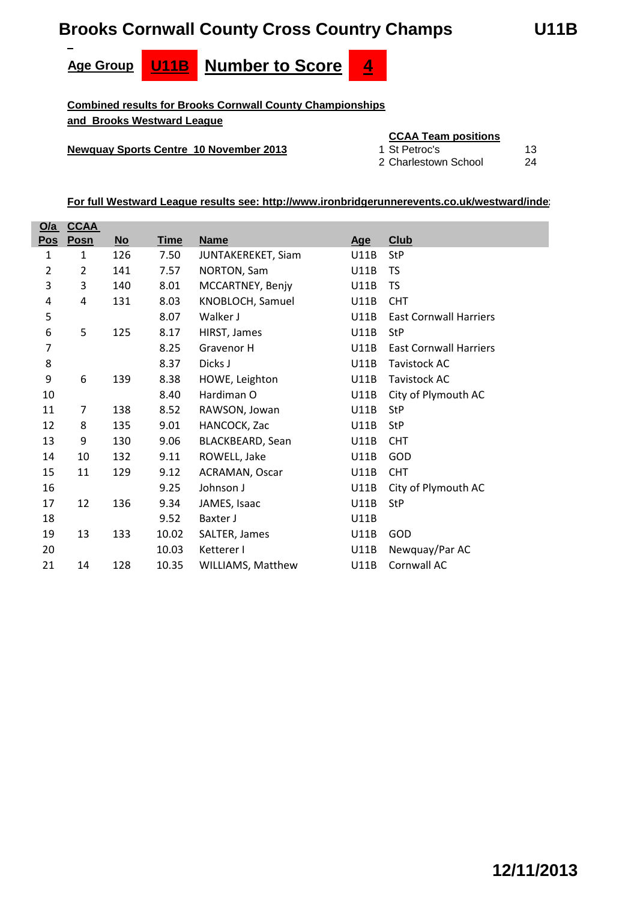# **Brooks Cornwall County Cross Country Champs U11B**





**Combined results for Brooks Cornwall County Championships and Brooks Westward League**

# **Newquay Sports Centre 10 November 2013** 1 St Petroc's 13

# **CCAA Team positions**

Charlestown School 24

| <u>O/a</u>              | <b>CCAA</b>    |      |             |                    |             |                               |
|-------------------------|----------------|------|-------------|--------------------|-------------|-------------------------------|
| Pos                     | Posn           | $No$ | <b>Time</b> | <b>Name</b>        | <u>Age</u>  | Club                          |
| $\mathbf 1$             | 1              | 126  | 7.50        | JUNTAKEREKET, Siam | <b>U11B</b> | <b>StP</b>                    |
| $\overline{\mathbf{c}}$ | 2              | 141  | 7.57        | NORTON, Sam        | <b>U11B</b> | <b>TS</b>                     |
| 3                       | 3              | 140  | 8.01        | MCCARTNEY, Benjy   | U11B        | <b>TS</b>                     |
| 4                       | 4              | 131  | 8.03        | KNOBLOCH, Samuel   | <b>U11B</b> | <b>CHT</b>                    |
| 5                       |                |      | 8.07        | Walker J           | <b>U11B</b> | <b>East Cornwall Harriers</b> |
| 6                       | 5              | 125  | 8.17        | HIRST, James       | U11B        | <b>StP</b>                    |
| 7                       |                |      | 8.25        | Gravenor H         | <b>U11B</b> | <b>East Cornwall Harriers</b> |
| 8                       |                |      | 8.37        | Dicks J            | <b>U11B</b> | Tavistock AC                  |
| 9                       | 6              | 139  | 8.38        | HOWE, Leighton     | U11B        | <b>Tavistock AC</b>           |
| 10                      |                |      | 8.40        | Hardiman O         | U11B        | City of Plymouth AC           |
| 11                      | $\overline{7}$ | 138  | 8.52        | RAWSON, Jowan      | U11B        | <b>StP</b>                    |
| 12                      | 8              | 135  | 9.01        | HANCOCK, Zac       | U11B        | <b>StP</b>                    |
| 13                      | 9              | 130  | 9.06        | BLACKBEARD, Sean   | <b>U11B</b> | <b>CHT</b>                    |
| 14                      | 10             | 132  | 9.11        | ROWELL, Jake       | <b>U11B</b> | GOD                           |
| 15                      | 11             | 129  | 9.12        | ACRAMAN, Oscar     | U11B        | <b>CHT</b>                    |
| 16                      |                |      | 9.25        | Johnson J          | <b>U11B</b> | City of Plymouth AC           |
| 17                      | 12             | 136  | 9.34        | JAMES, Isaac       | U11B        | <b>StP</b>                    |
| 18                      |                |      | 9.52        | Baxter J           | U11B        |                               |
| 19                      | 13             | 133  | 10.02       | SALTER, James      | <b>U11B</b> | GOD                           |
| 20                      |                |      | 10.03       | Ketterer I         | U11B        | Newquay/Par AC                |
| 21                      | 14             | 128  | 10.35       | WILLIAMS, Matthew  | U11B        | Cornwall AC                   |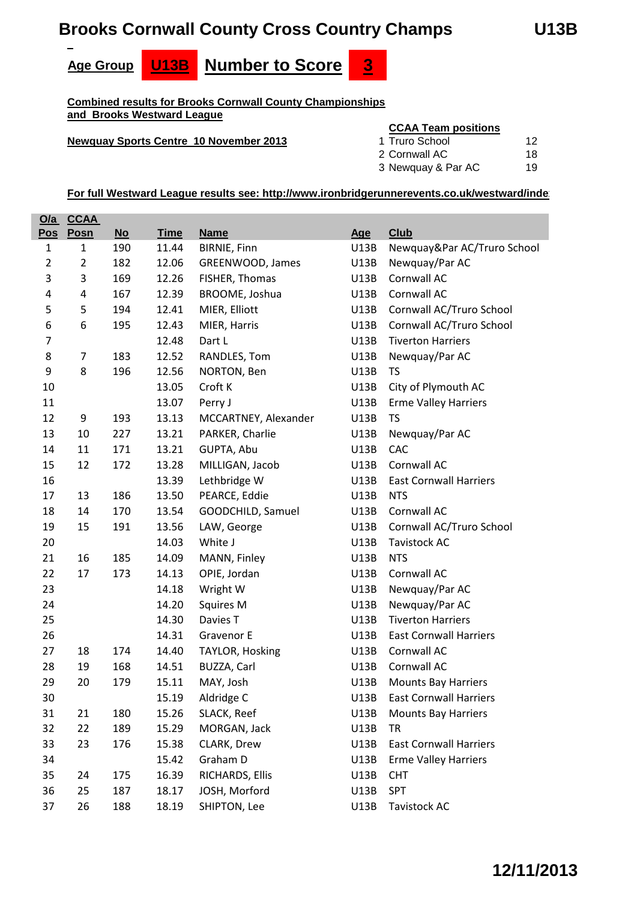# **Brooks Cornwall County Cross Country Champs U13B**







**Combined results for Brooks Cornwall County Championships and Brooks Westward League**

#### **Newquay Sports Centre 10 November 2013**

#### **CCAA Team positions**

| 1 Truro School     | 12 |
|--------------------|----|
| 2 Cornwall AC      | 18 |
| 3 Newquay & Par AC | 19 |

|                | <u>O/a CCAA</u> |      |             |                      |             |                               |
|----------------|-----------------|------|-------------|----------------------|-------------|-------------------------------|
| <u>Pos</u>     | Posn            | $No$ | <b>Time</b> | <b>Name</b>          | <b>Age</b>  | <b>Club</b>                   |
| $\mathbf{1}$   | $\mathbf{1}$    | 190  | 11.44       | <b>BIRNIE, Finn</b>  | U13B        | Newquay&Par AC/Truro School   |
| $\overline{2}$ | $\overline{2}$  | 182  | 12.06       | GREENWOOD, James     | U13B        | Newquay/Par AC                |
| 3              | 3               | 169  | 12.26       | FISHER, Thomas       | U13B        | Cornwall AC                   |
| 4              | 4               | 167  | 12.39       | BROOME, Joshua       | U13B        | Cornwall AC                   |
| 5              | 5               | 194  | 12.41       | MIER, Elliott        | U13B        | Cornwall AC/Truro School      |
| 6              | 6               | 195  | 12.43       | MIER, Harris         | U13B        | Cornwall AC/Truro School      |
| 7              |                 |      | 12.48       | Dart L               | U13B        | <b>Tiverton Harriers</b>      |
| 8              | 7               | 183  | 12.52       | RANDLES, Tom         | U13B        | Newquay/Par AC                |
| 9              | 8               | 196  | 12.56       | NORTON, Ben          | U13B        | <b>TS</b>                     |
| 10             |                 |      | 13.05       | Croft K              | U13B        | City of Plymouth AC           |
| 11             |                 |      | 13.07       | Perry J              | U13B        | <b>Erme Valley Harriers</b>   |
| 12             | 9               | 193  | 13.13       | MCCARTNEY, Alexander | U13B        | <b>TS</b>                     |
| 13             | 10              | 227  | 13.21       | PARKER, Charlie      | U13B        | Newquay/Par AC                |
| 14             | 11              | 171  | 13.21       | GUPTA, Abu           | <b>U13B</b> | CAC                           |
| 15             | 12              | 172  | 13.28       | MILLIGAN, Jacob      | U13B        | Cornwall AC                   |
| 16             |                 |      | 13.39       | Lethbridge W         | U13B        | <b>East Cornwall Harriers</b> |
| 17             | 13              | 186  | 13.50       | PEARCE, Eddie        | U13B        | <b>NTS</b>                    |
| 18             | 14              | 170  | 13.54       | GOODCHILD, Samuel    | U13B        | Cornwall AC                   |
| 19             | 15              | 191  | 13.56       | LAW, George          | U13B        | Cornwall AC/Truro School      |
| 20             |                 |      | 14.03       | White J              | U13B        | <b>Tavistock AC</b>           |
| 21             | 16              | 185  | 14.09       | MANN, Finley         | U13B        | <b>NTS</b>                    |
| 22             | 17              | 173  | 14.13       | OPIE, Jordan         | U13B        | Cornwall AC                   |
| 23             |                 |      | 14.18       | Wright W             | U13B        | Newquay/Par AC                |
| 24             |                 |      | 14.20       | <b>Squires M</b>     | U13B        | Newquay/Par AC                |
| 25             |                 |      | 14.30       | Davies T             | U13B        | <b>Tiverton Harriers</b>      |
| 26             |                 |      | 14.31       | Gravenor E           | U13B        | <b>East Cornwall Harriers</b> |
| 27             | 18              | 174  | 14.40       | TAYLOR, Hosking      | U13B        | Cornwall AC                   |
| 28             | 19              | 168  | 14.51       | BUZZA, Carl          | U13B        | Cornwall AC                   |
| 29             | 20              | 179  | 15.11       | MAY, Josh            | U13B        | <b>Mounts Bay Harriers</b>    |
| 30             |                 |      | 15.19       | Aldridge C           | U13B        | <b>East Cornwall Harriers</b> |
| 31             | 21              | 180  | 15.26       | SLACK, Reef          | U13B        | <b>Mounts Bay Harriers</b>    |
| 32             | 22              | 189  | 15.29       | MORGAN, Jack         | U13B        | <b>TR</b>                     |
| 33             | 23              | 176  | 15.38       | CLARK, Drew          | U13B        | <b>East Cornwall Harriers</b> |
| 34             |                 |      | 15.42       | Graham D             | U13B        | <b>Erme Valley Harriers</b>   |
| 35             | 24              | 175  | 16.39       | RICHARDS, Ellis      | <b>U13B</b> | <b>CHT</b>                    |
| 36             | 25              | 187  | 18.17       | JOSH, Morford        | U13B        | <b>SPT</b>                    |
| 37             | 26              | 188  | 18.19       | SHIPTON, Lee         | U13B        | Tavistock AC                  |